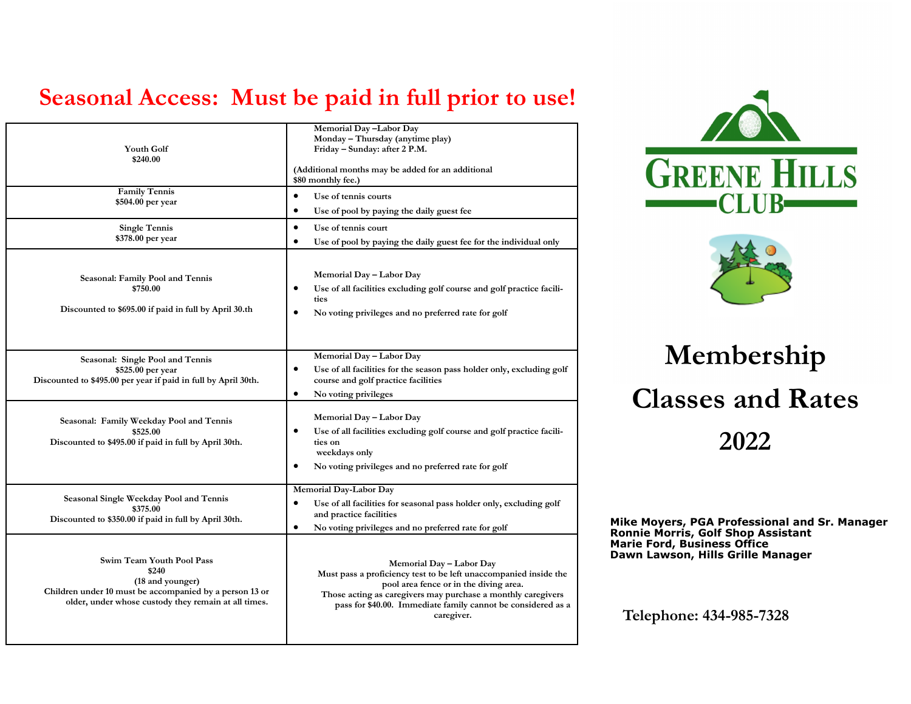## **Seasonal Access: Must be paid in full prior to use!**

| <b>Youth Golf</b><br>\$240.00                                                                                                                                             | Memorial Day-Labor Day<br>Monday - Thursday (anytime play)<br>Friday - Sunday: after 2 P.M.<br>(Additional months may be added for an additional<br>\$80 monthly fee.)                                                                                                               |
|---------------------------------------------------------------------------------------------------------------------------------------------------------------------------|--------------------------------------------------------------------------------------------------------------------------------------------------------------------------------------------------------------------------------------------------------------------------------------|
| <b>Family Tennis</b><br>\$504.00 per year                                                                                                                                 | $\bullet$<br>Use of tennis courts<br>$\bullet$<br>Use of pool by paying the daily guest fee                                                                                                                                                                                          |
| <b>Single Tennis</b><br>\$378.00 per year                                                                                                                                 | $\bullet$<br>Use of tennis court<br>$\bullet$<br>Use of pool by paying the daily guest fee for the individual only                                                                                                                                                                   |
| Seasonal: Family Pool and Tennis<br>\$750.00<br>Discounted to \$695.00 if paid in full by April 30.th                                                                     | Memorial Day - Labor Day<br>Use of all facilities excluding golf course and golf practice facili-<br>$\bullet$<br>ties<br>$\bullet$<br>No voting privileges and no preferred rate for golf                                                                                           |
| Seasonal: Single Pool and Tennis<br>\$525.00 per year<br>Discounted to \$495.00 per year if paid in full by April 30th.                                                   | Memorial Day - Labor Day<br>$\bullet$<br>Use of all facilities for the season pass holder only, excluding golf<br>course and golf practice facilities<br>$\bullet$<br>No voting privileges                                                                                           |
| Seasonal: Family Weekday Pool and Tennis<br>\$525.00<br>Discounted to \$495.00 if paid in full by April 30th.                                                             | Memorial Day - Labor Day<br>Use of all facilities excluding golf course and golf practice facili-<br>ties on<br>weekdays only<br>$\bullet$<br>No voting privileges and no preferred rate for golf                                                                                    |
| Seasonal Single Weekday Pool and Tennis<br>\$375.00<br>Discounted to \$350.00 if paid in full by April 30th.                                                              | Memorial Day-Labor Day<br>Use of all facilities for seasonal pass holder only, excluding golf<br>$\bullet$<br>and practice facilities<br>No voting privileges and no preferred rate for golf<br>٠                                                                                    |
| Swim Team Youth Pool Pass<br>\$240<br>(18 and younger)<br>Children under 10 must be accompanied by a person 13 or<br>older, under whose custody they remain at all times. | Memorial Day - Labor Day<br>Must pass a proficiency test to be left unaccompanied inside the<br>pool area fence or in the diving area.<br>Those acting as caregivers may purchase a monthly caregivers<br>pass for \$40.00. Immediate family cannot be considered as a<br>caregiver. |





# **Membership Classes and Rates 2022**

**Mike Moyers, PGA Professional and Sr. Manager Ronnie Morris, Golf Shop Assistant Marie Ford, Business Office Dawn Lawson, Hills Grille Manager**

**Telephone: 434-985-7328**